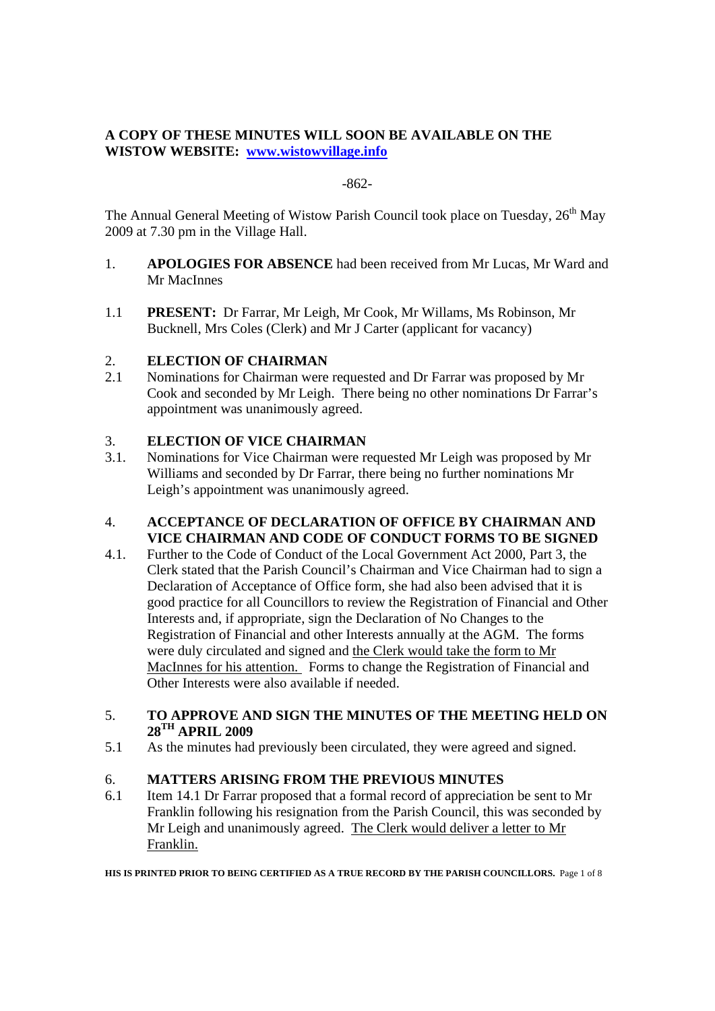# **A COPY OF THESE MINUTES WILL SOON BE AVAILABLE ON THE WISTOW WEBSITE: www.wistowvillage.info**

## -862-

The Annual General Meeting of Wistow Parish Council took place on Tuesday, 26<sup>th</sup> May 2009 at 7.30 pm in the Village Hall.

- 1. **APOLOGIES FOR ABSENCE** had been received from Mr Lucas, Mr Ward and Mr MacInnes
- 1.1 **PRESENT:** Dr Farrar, Mr Leigh, Mr Cook, Mr Willams, Ms Robinson, Mr Bucknell, Mrs Coles (Clerk) and Mr J Carter (applicant for vacancy)

## 2. **ELECTION OF CHAIRMAN**

2.1 Nominations for Chairman were requested and Dr Farrar was proposed by Mr Cook and seconded by Mr Leigh. There being no other nominations Dr Farrar's appointment was unanimously agreed.

## 3. **ELECTION OF VICE CHAIRMAN**

3.1. Nominations for Vice Chairman were requested Mr Leigh was proposed by Mr Williams and seconded by Dr Farrar, there being no further nominations Mr Leigh's appointment was unanimously agreed.

# 4. **ACCEPTANCE OF DECLARATION OF OFFICE BY CHAIRMAN AND VICE CHAIRMAN AND CODE OF CONDUCT FORMS TO BE SIGNED**

4.1. Further to the Code of Conduct of the Local Government Act 2000, Part 3, the Clerk stated that the Parish Council's Chairman and Vice Chairman had to sign a Declaration of Acceptance of Office form, she had also been advised that it is good practice for all Councillors to review the Registration of Financial and Other Interests and, if appropriate, sign the Declaration of No Changes to the Registration of Financial and other Interests annually at the AGM. The forms were duly circulated and signed and the Clerk would take the form to Mr MacInnes for his attention. Forms to change the Registration of Financial and Other Interests were also available if needed.

#### 5. **TO APPROVE AND SIGN THE MINUTES OF THE MEETING HELD ON 28TH APRIL 2009**

5.1 As the minutes had previously been circulated, they were agreed and signed.

## 6. **MATTERS ARISING FROM THE PREVIOUS MINUTES**

6.1 Item 14.1 Dr Farrar proposed that a formal record of appreciation be sent to Mr Franklin following his resignation from the Parish Council, this was seconded by Mr Leigh and unanimously agreed. The Clerk would deliver a letter to Mr Franklin.

**HIS IS PRINTED PRIOR TO BEING CERTIFIED AS A TRUE RECORD BY THE PARISH COUNCILLORS.** Page 1 of 8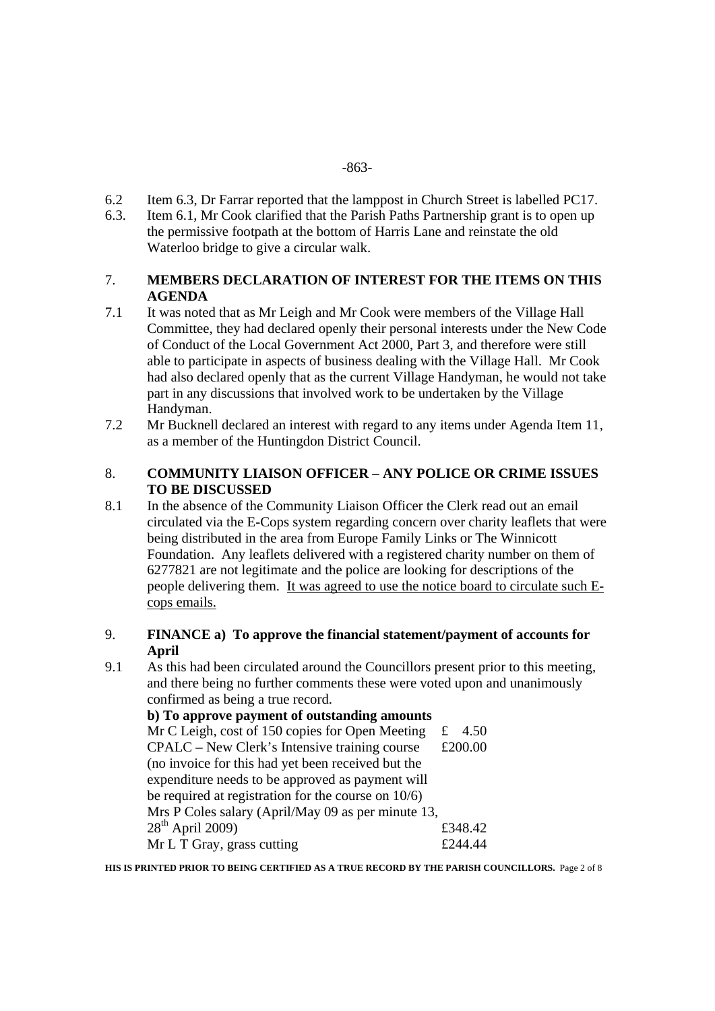- -863-
- 6.2 Item 6.3, Dr Farrar reported that the lamppost in Church Street is labelled PC17.
- 6.3. Item 6.1, Mr Cook clarified that the Parish Paths Partnership grant is to open up the permissive footpath at the bottom of Harris Lane and reinstate the old Waterloo bridge to give a circular walk.

# 7. **MEMBERS DECLARATION OF INTEREST FOR THE ITEMS ON THIS AGENDA**

- 7.1 It was noted that as Mr Leigh and Mr Cook were members of the Village Hall Committee, they had declared openly their personal interests under the New Code of Conduct of the Local Government Act 2000, Part 3, and therefore were still able to participate in aspects of business dealing with the Village Hall. Mr Cook had also declared openly that as the current Village Handyman, he would not take part in any discussions that involved work to be undertaken by the Village Handyman.
- 7.2 Mr Bucknell declared an interest with regard to any items under Agenda Item 11, as a member of the Huntingdon District Council.

## 8. **COMMUNITY LIAISON OFFICER – ANY POLICE OR CRIME ISSUES TO BE DISCUSSED**

- 8.1 In the absence of the Community Liaison Officer the Clerk read out an email circulated via the E-Cops system regarding concern over charity leaflets that were being distributed in the area from Europe Family Links or The Winnicott Foundation. Any leaflets delivered with a registered charity number on them of 6277821 are not legitimate and the police are looking for descriptions of the people delivering them. It was agreed to use the notice board to circulate such Ecops emails.
- 9. **FINANCE a) To approve the financial statement/payment of accounts for April**
- 9.1 As this had been circulated around the Councillors present prior to this meeting, and there being no further comments these were voted upon and unanimously confirmed as being a true record.

| b) To approve payment of outstanding amounts           |           |  |  |  |
|--------------------------------------------------------|-----------|--|--|--|
| Mr C Leigh, cost of 150 copies for Open Meeting        | 4.50<br>£ |  |  |  |
| CPALC – New Clerk's Intensive training course          | £200.00   |  |  |  |
| (no invoice for this had yet been received but the     |           |  |  |  |
| expenditure needs to be approved as payment will       |           |  |  |  |
| be required at registration for the course on $10/6$ ) |           |  |  |  |
| Mrs P Coles salary (April/May 09 as per minute 13,     |           |  |  |  |
| $28^{th}$ April 2009)                                  | £348.42   |  |  |  |
| Mr L T Gray, grass cutting                             | f244 44   |  |  |  |

**HIS IS PRINTED PRIOR TO BEING CERTIFIED AS A TRUE RECORD BY THE PARISH COUNCILLORS.** Page 2 of 8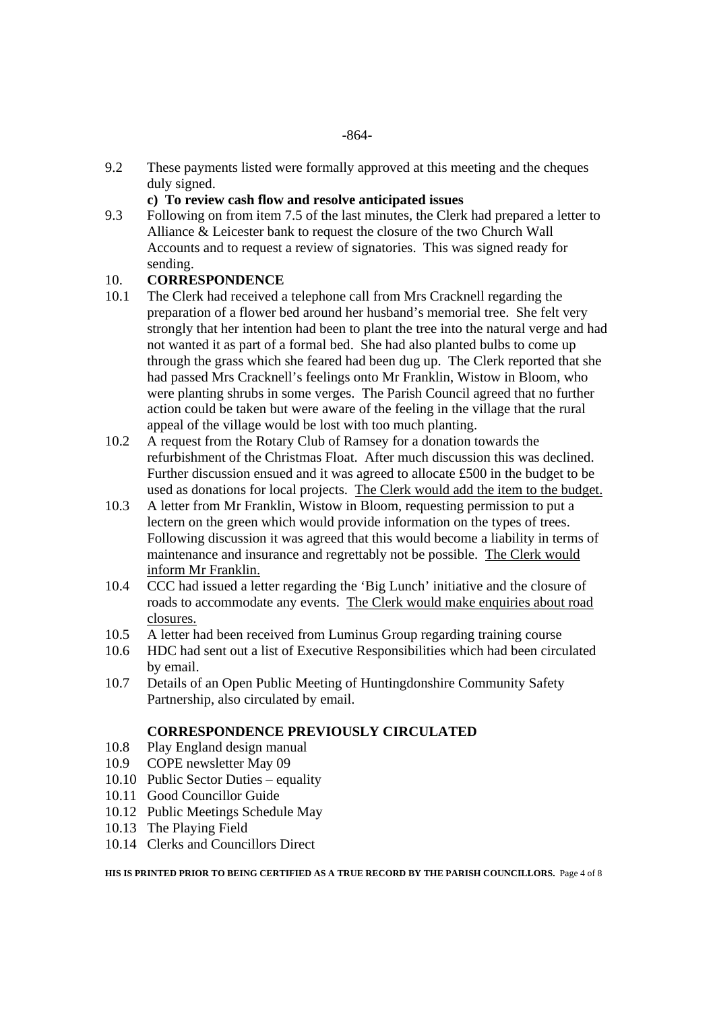9.2 These payments listed were formally approved at this meeting and the cheques duly signed.

#### **c) To review cash flow and resolve anticipated issues**

9.3 Following on from item 7.5 of the last minutes, the Clerk had prepared a letter to Alliance & Leicester bank to request the closure of the two Church Wall Accounts and to request a review of signatories. This was signed ready for sending.

## 10. **CORRESPONDENCE**

- 10.1 The Clerk had received a telephone call from Mrs Cracknell regarding the preparation of a flower bed around her husband's memorial tree. She felt very strongly that her intention had been to plant the tree into the natural verge and had not wanted it as part of a formal bed. She had also planted bulbs to come up through the grass which she feared had been dug up. The Clerk reported that she had passed Mrs Cracknell's feelings onto Mr Franklin, Wistow in Bloom, who were planting shrubs in some verges. The Parish Council agreed that no further action could be taken but were aware of the feeling in the village that the rural appeal of the village would be lost with too much planting.
- 10.2 A request from the Rotary Club of Ramsey for a donation towards the refurbishment of the Christmas Float. After much discussion this was declined. Further discussion ensued and it was agreed to allocate £500 in the budget to be used as donations for local projects. The Clerk would add the item to the budget.
- 10.3 A letter from Mr Franklin, Wistow in Bloom, requesting permission to put a lectern on the green which would provide information on the types of trees. Following discussion it was agreed that this would become a liability in terms of maintenance and insurance and regrettably not be possible. The Clerk would inform Mr Franklin.
- 10.4 CCC had issued a letter regarding the 'Big Lunch' initiative and the closure of roads to accommodate any events. The Clerk would make enquiries about road closures.
- 10.5 A letter had been received from Luminus Group regarding training course
- 10.6 HDC had sent out a list of Executive Responsibilities which had been circulated by email.
- 10.7 Details of an Open Public Meeting of Huntingdonshire Community Safety Partnership, also circulated by email.

## **CORRESPONDENCE PREVIOUSLY CIRCULATED**

- 10.8 Play England design manual
- 10.9 COPE newsletter May 09
- 10.10 Public Sector Duties equality
- 10.11 Good Councillor Guide
- 10.12 Public Meetings Schedule May
- 10.13 The Playing Field
- 10.14 Clerks and Councillors Direct

**HIS IS PRINTED PRIOR TO BEING CERTIFIED AS A TRUE RECORD BY THE PARISH COUNCILLORS.** Page 4 of 8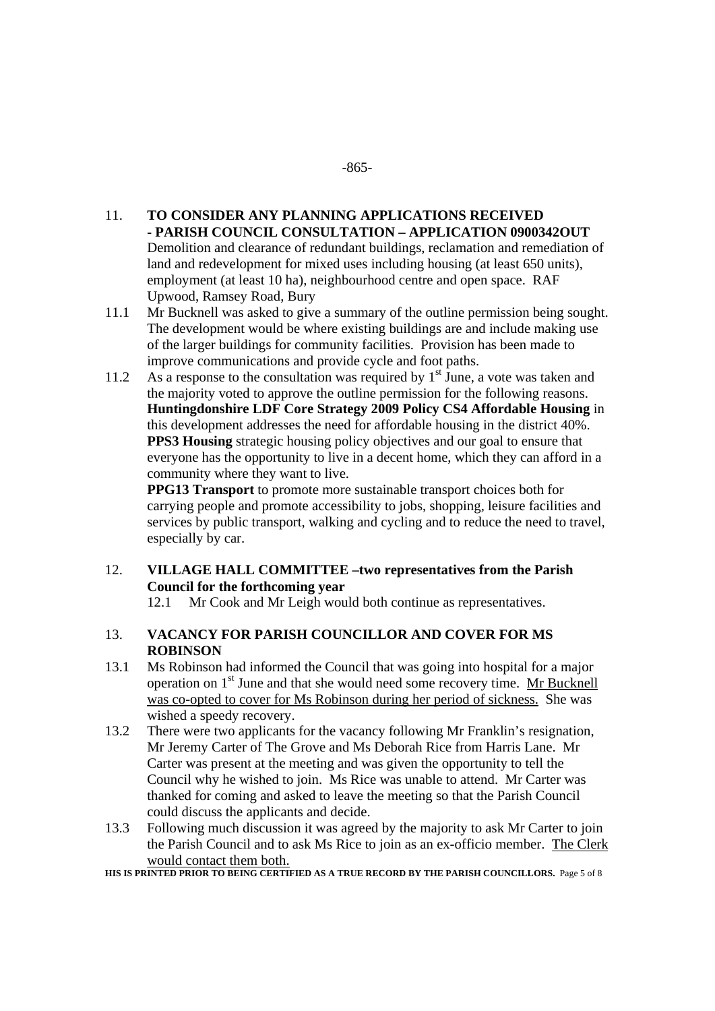#### 11. **TO CONSIDER ANY PLANNING APPLICATIONS RECEIVED - PARISH COUNCIL CONSULTATION – APPLICATION 0900342OUT**  Demolition and clearance of redundant buildings, reclamation and remediation of land and redevelopment for mixed uses including housing (at least 650 units), employment (at least 10 ha), neighbourhood centre and open space. RAF Upwood, Ramsey Road, Bury

- 11.1 Mr Bucknell was asked to give a summary of the outline permission being sought. The development would be where existing buildings are and include making use of the larger buildings for community facilities. Provision has been made to improve communications and provide cycle and foot paths.
- 11.2 As a response to the consultation was required by  $1<sup>st</sup>$  June, a vote was taken and the majority voted to approve the outline permission for the following reasons. **Huntingdonshire LDF Core Strategy 2009 Policy CS4 Affordable Housing** in this development addresses the need for affordable housing in the district 40%. **PPS3 Housing** strategic housing policy objectives and our goal to ensure that everyone has the opportunity to live in a decent home, which they can afford in a community where they want to live.

**PPG13 Transport** to promote more sustainable transport choices both for carrying people and promote accessibility to jobs, shopping, leisure facilities and services by public transport, walking and cycling and to reduce the need to travel, especially by car.

# 12. **VILLAGE HALL COMMITTEE –two representatives from the Parish Council for the forthcoming year**

12.1 Mr Cook and Mr Leigh would both continue as representatives.

## 13. **VACANCY FOR PARISH COUNCILLOR AND COVER FOR MS ROBINSON**

- 13.1 Ms Robinson had informed the Council that was going into hospital for a major operation on 1st June and that she would need some recovery time. Mr Bucknell was co-opted to cover for Ms Robinson during her period of sickness. She was wished a speedy recovery.
- 13.2 There were two applicants for the vacancy following Mr Franklin's resignation, Mr Jeremy Carter of The Grove and Ms Deborah Rice from Harris Lane. Mr Carter was present at the meeting and was given the opportunity to tell the Council why he wished to join. Ms Rice was unable to attend. Mr Carter was thanked for coming and asked to leave the meeting so that the Parish Council could discuss the applicants and decide.
- 13.3 Following much discussion it was agreed by the majority to ask Mr Carter to join the Parish Council and to ask Ms Rice to join as an ex-officio member. The Clerk would contact them both.

HIS IS PRINTED PRIOR TO BEING CERTIFIED AS A TRUE RECORD BY THE PARISH COUNCILLORS. Page 5 of 8

#### -865-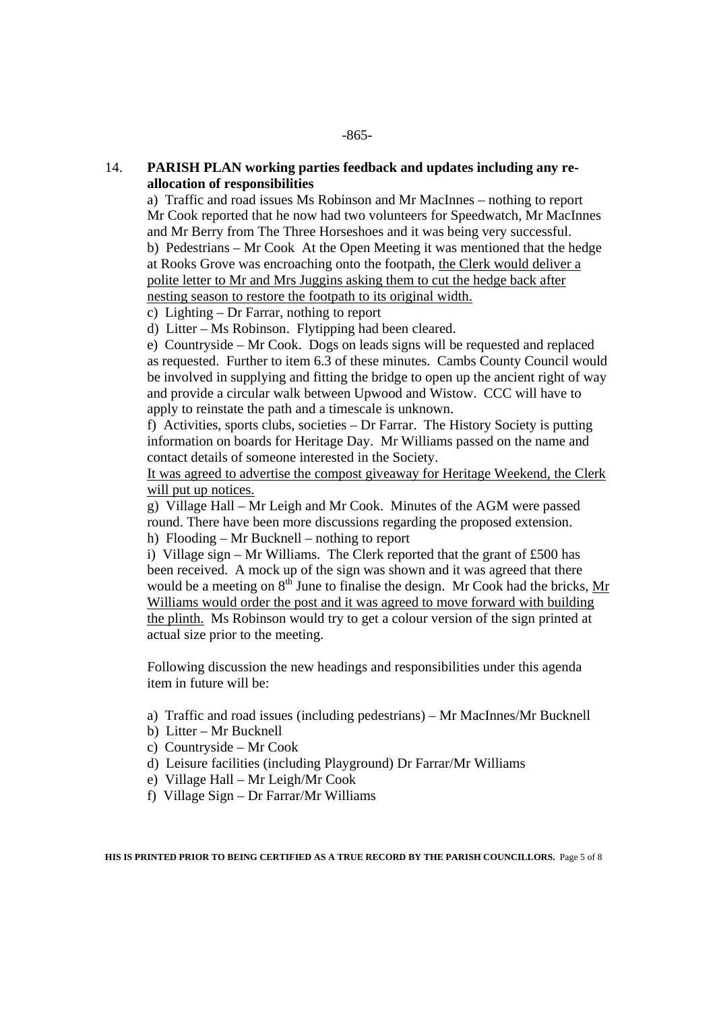# 14. **PARISH PLAN working parties feedback and updates including any reallocation of responsibilities**

 a) Traffic and road issues Ms Robinson and Mr MacInnes – nothing to report Mr Cook reported that he now had two volunteers for Speedwatch, Mr MacInnes and Mr Berry from The Three Horseshoes and it was being very successful. b) Pedestrians – Mr Cook At the Open Meeting it was mentioned that the hedge at Rooks Grove was encroaching onto the footpath, the Clerk would deliver a polite letter to Mr and Mrs Juggins asking them to cut the hedge back after nesting season to restore the footpath to its original width.

c) Lighting – Dr Farrar, nothing to report

d) Litter – Ms Robinson. Flytipping had been cleared.

 e) Countryside – Mr Cook. Dogs on leads signs will be requested and replaced as requested. Further to item 6.3 of these minutes. Cambs County Council would be involved in supplying and fitting the bridge to open up the ancient right of way and provide a circular walk between Upwood and Wistow. CCC will have to apply to reinstate the path and a timescale is unknown.

 f) Activities, sports clubs, societies – Dr Farrar. The History Society is putting information on boards for Heritage Day. Mr Williams passed on the name and contact details of someone interested in the Society.

 It was agreed to advertise the compost giveaway for Heritage Weekend, the Clerk will put up notices.

g) Village Hall – Mr Leigh and Mr Cook. Minutes of the AGM were passed round. There have been more discussions regarding the proposed extension. h) Flooding – Mr Bucknell – nothing to report

i) Village sign – Mr Williams. The Clerk reported that the grant of  $£500$  has been received. A mock up of the sign was shown and it was agreed that there would be a meeting on  $8<sup>th</sup>$  June to finalise the design. Mr Cook had the bricks, Mr Williams would order the post and it was agreed to move forward with building the plinth. Ms Robinson would try to get a colour version of the sign printed at actual size prior to the meeting.

Following discussion the new headings and responsibilities under this agenda item in future will be:

- a) Traffic and road issues (including pedestrians) Mr MacInnes/Mr Bucknell
- b) Litter Mr Bucknell
- c) Countryside Mr Cook
- d) Leisure facilities (including Playground) Dr Farrar/Mr Williams
- e) Village Hall Mr Leigh/Mr Cook
- f) Village Sign Dr Farrar/Mr Williams

**HIS IS PRINTED PRIOR TO BEING CERTIFIED AS A TRUE RECORD BY THE PARISH COUNCILLORS.** Page 5 of 8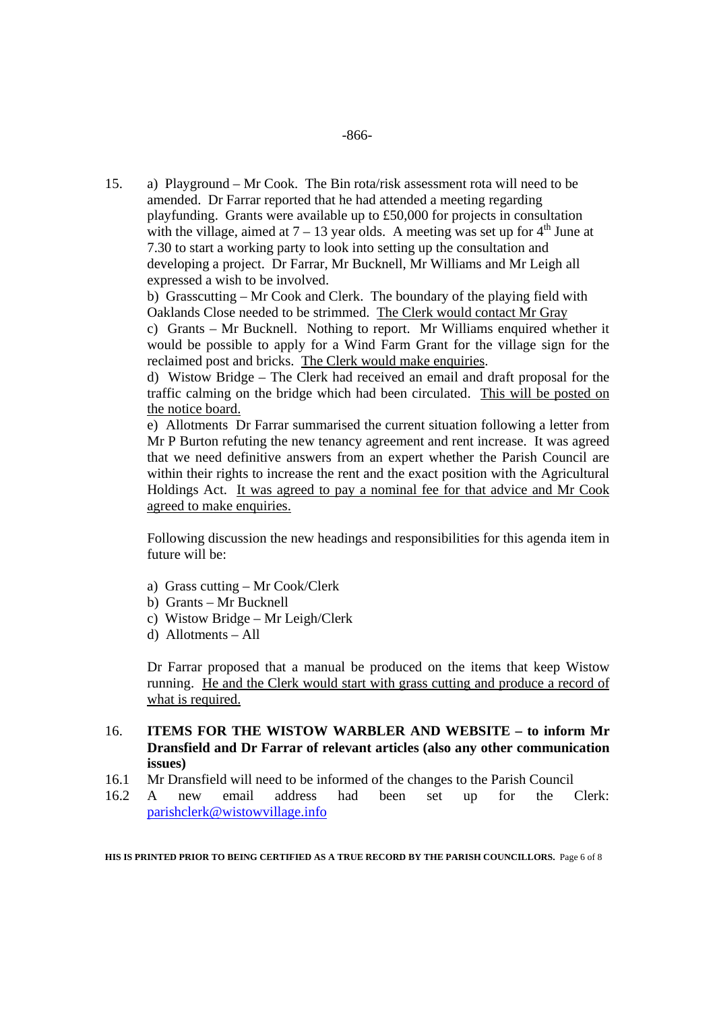15. a) Playground – Mr Cook. The Bin rota/risk assessment rota will need to be amended. Dr Farrar reported that he had attended a meeting regarding playfunding. Grants were available up to £50,000 for projects in consultation with the village, aimed at  $7 - 13$  year olds. A meeting was set up for  $4<sup>th</sup>$  June at 7.30 to start a working party to look into setting up the consultation and developing a project. Dr Farrar, Mr Bucknell, Mr Williams and Mr Leigh all expressed a wish to be involved.

 b) Grasscutting – Mr Cook and Clerk. The boundary of the playing field with Oaklands Close needed to be strimmed. The Clerk would contact Mr Gray

 c) Grants – Mr Bucknell. Nothing to report. Mr Williams enquired whether it would be possible to apply for a Wind Farm Grant for the village sign for the reclaimed post and bricks. The Clerk would make enquiries.

 d) Wistow Bridge – The Clerk had received an email and draft proposal for the traffic calming on the bridge which had been circulated. This will be posted on the notice board.

 e) Allotments Dr Farrar summarised the current situation following a letter from Mr P Burton refuting the new tenancy agreement and rent increase. It was agreed that we need definitive answers from an expert whether the Parish Council are within their rights to increase the rent and the exact position with the Agricultural Holdings Act. It was agreed to pay a nominal fee for that advice and Mr Cook agreed to make enquiries.

 Following discussion the new headings and responsibilities for this agenda item in future will be:

- a) Grass cutting Mr Cook/Clerk
- b) Grants Mr Bucknell
- c) Wistow Bridge Mr Leigh/Clerk
- d) Allotments All

 Dr Farrar proposed that a manual be produced on the items that keep Wistow running. He and the Clerk would start with grass cutting and produce a record of what is required.

#### 16. **ITEMS FOR THE WISTOW WARBLER AND WEBSITE – to inform Mr Dransfield and Dr Farrar of relevant articles (also any other communication issues)**

- 16.1 Mr Dransfield will need to be informed of the changes to the Parish Council
- 16.2 A new email address had been set up for the Clerk: parishclerk@wistowvillage.info

**HIS IS PRINTED PRIOR TO BEING CERTIFIED AS A TRUE RECORD BY THE PARISH COUNCILLORS.** Page 6 of 8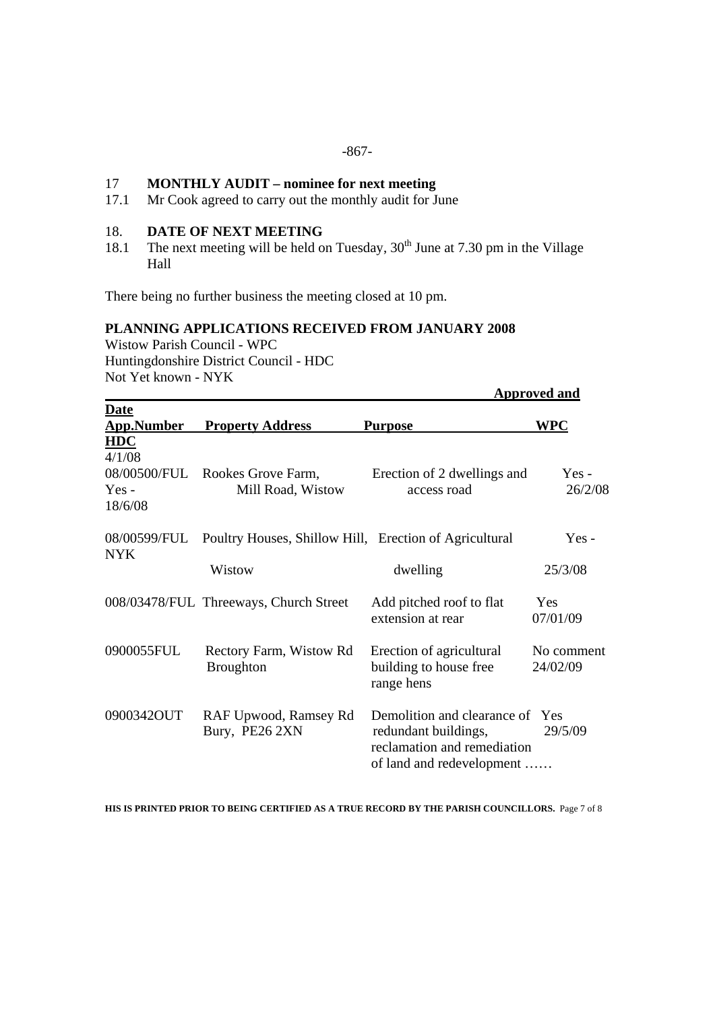#### -867-

#### 17 **MONTHLY AUDIT – nominee for next meeting**

17.1 Mr Cook agreed to carry out the monthly audit for June

## 18. **DATE OF NEXT MEETING**

18.1 The next meeting will be held on Tuesday,  $30<sup>th</sup>$  June at 7.30 pm in the Village Hall

There being no further business the meeting closed at 10 pm.

#### **PLANNING APPLICATIONS RECEIVED FROM JANUARY 2008**

Wistow Parish Council - WPC Huntingdonshire District Council - HDC Not Yet known - NYK

|                                                            |                                                        |                                                                                                                     | <b>Approved and</b>    |
|------------------------------------------------------------|--------------------------------------------------------|---------------------------------------------------------------------------------------------------------------------|------------------------|
| <b>Date</b><br><b>App.Number</b>                           | <b>Property Address</b>                                | <b>Purpose</b>                                                                                                      | WPC                    |
| <b>HDC</b><br>4/1/08<br>08/00500/FUL<br>$Yes -$<br>18/6/08 | Rookes Grove Farm,<br>Mill Road, Wistow                | Erection of 2 dwellings and<br>access road                                                                          | $Yes -$<br>26/2/08     |
| 08/00599/FUL<br><b>NYK</b>                                 | Poultry Houses, Shillow Hill, Erection of Agricultural |                                                                                                                     | $Yes -$                |
|                                                            | Wistow                                                 | dwelling                                                                                                            | 25/3/08                |
|                                                            | 008/03478/FUL Threeways, Church Street                 | Add pitched roof to flat<br>extension at rear                                                                       | <b>Yes</b><br>07/01/09 |
| 0900055FUL                                                 | Rectory Farm, Wistow Rd<br><b>Broughton</b>            | Erection of agricultural<br>building to house free<br>range hens                                                    | No comment<br>24/02/09 |
| 0900342OUT                                                 | RAF Upwood, Ramsey Rd<br>Bury, PE26 2XN                | Demolition and clearance of Yes<br>redundant buildings,<br>reclamation and remediation<br>of land and redevelopment | 29/5/09                |

**HIS IS PRINTED PRIOR TO BEING CERTIFIED AS A TRUE RECORD BY THE PARISH COUNCILLORS.** Page 7 of 8